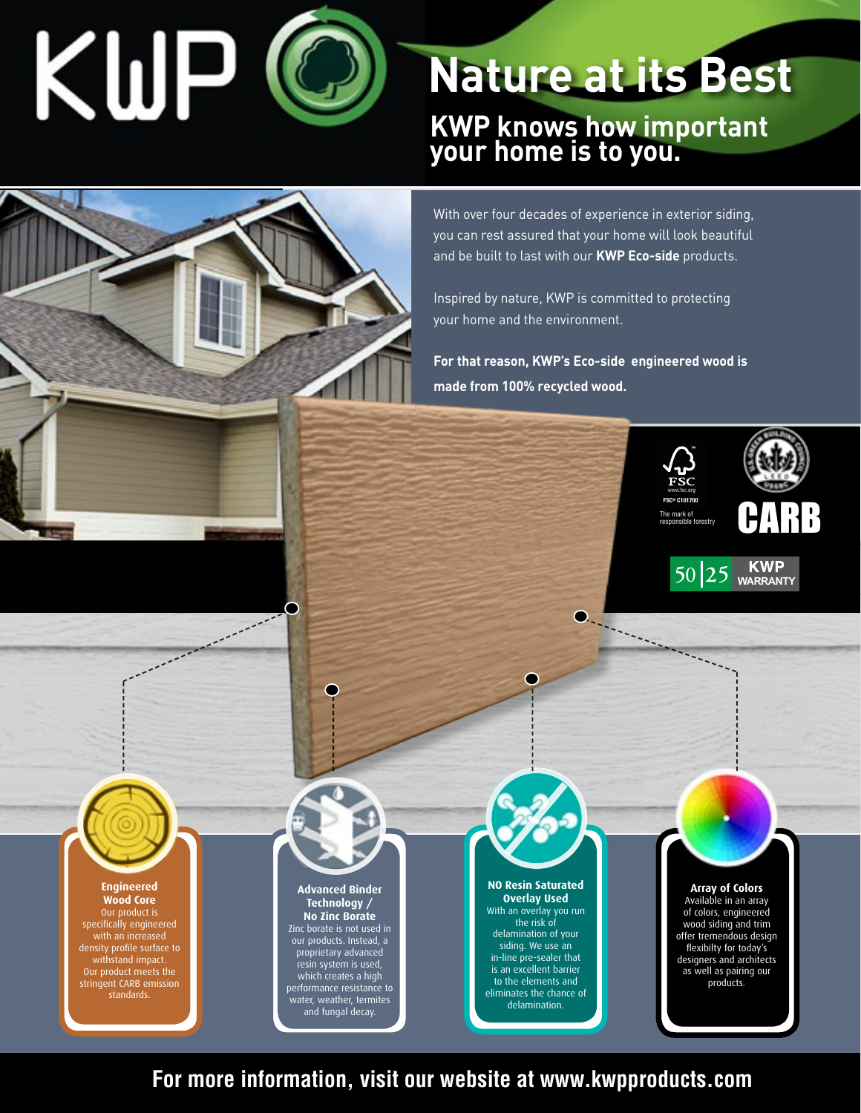# KWP

## **Nature at its Best**

**KWP knows how important your home is to you.**

With over four decades of experience in exterior siding, you can rest assured that your home will look beautiful and be built to last with our **KWP Eco-side** products.

Inspired by nature, KWP is committed to protecting your home and the environment.

**For that reason, KWP's Eco-side engineered wood is made from 100% recycled wood.**

∩

**Barbara** 



 $50\,|25\,|$  **KWP** WARRANTY





#### **Engineered Wood Core**

Our product is specifically engineered with an increased density profile surface to withstand impact. Our product meets the stringent CARB emission standards.

#### **Advanced Binder Technology / No Zinc Borate** Zinc borate is not used in our products. Instead, a proprietary advanced resin system is used, which creates a high performance resistance to water, weather, termites

and the form of the second second the second second second second second second second second second second second second second second second second second second second second second second second second second second se

 $\mathbb{R}^2$ 

and fungal decay.



#### **NO Resin Saturated Overlay Used** With an overlay you run

the risk of delamination of your siding. We use an in-line pre-sealer that is an excellent barrier to the elements and eliminates the chance of delamination.

### **Array of Colors**

Available in an array of colors, engineered wood siding and trim offer tremendous design flexibilty for today's designers and architects as well as pairing our products.

**For more information, visit our website at www.kwpproducts.com**